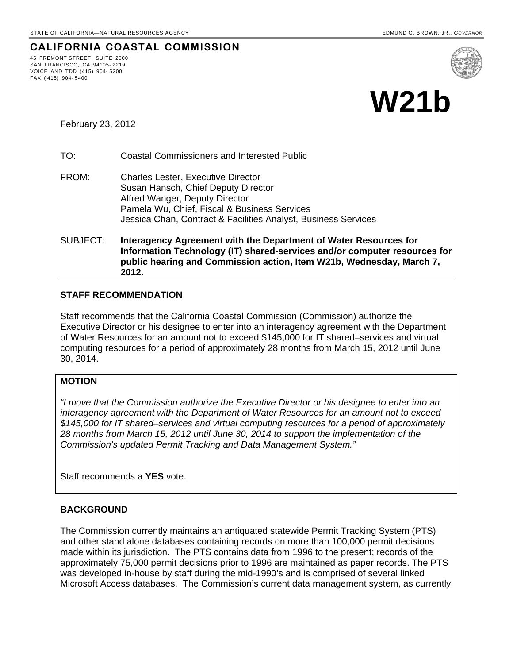# **CALIFORNIA COASTAL COMMISSION**

45 FREMONT STREET, SUITE 2000 SAN FRANCISCO, CA 94105- 2219 VOICE AND TDD (415) 904- 5200 FAX ( 415) 904- 5400



February 23, 2012

TO: Coastal Commissioners and Interested Public

FROM: Charles Lester, Executive Director Susan Hansch, Chief Deputy Director Alfred Wanger, Deputy Director Pamela Wu, Chief, Fiscal & Business Services Jessica Chan, Contract & Facilities Analyst, Business Services

SUBJECT: **Interagency Agreement with the Department of Water Resources for Information Technology (IT) shared-services and/or computer resources for public hearing and Commission action, Item W21b, Wednesday, March 7, 2012.**

## **STAFF RECOMMENDATION**

Staff recommends that the California Coastal Commission (Commission) authorize the Executive Director or his designee to enter into an interagency agreement with the Department of Water Resources for an amount not to exceed \$145,000 for IT shared–services and virtual computing resources for a period of approximately 28 months from March 15, 2012 until June 30, 2014.

### **MOTION**

*"I move that the Commission authorize the Executive Director or his designee to enter into an interagency agreement with the Department of Water Resources for an amount not to exceed \$145,000 for IT shared–services and virtual computing resources for a period of approximately 28 months from March 15, 2012 until June 30, 2014 to support the implementation of the Commission's updated Permit Tracking and Data Management System."* 

Staff recommends a **YES** vote.

## **BACKGROUND**

The Commission currently maintains an antiquated statewide Permit Tracking System (PTS) and other stand alone databases containing records on more than 100,000 permit decisions made within its jurisdiction. The PTS contains data from 1996 to the present; records of the approximately 75,000 permit decisions prior to 1996 are maintained as paper records. The PTS was developed in-house by staff during the mid-1990's and is comprised of several linked Microsoft Access databases. The Commission's current data management system, as currently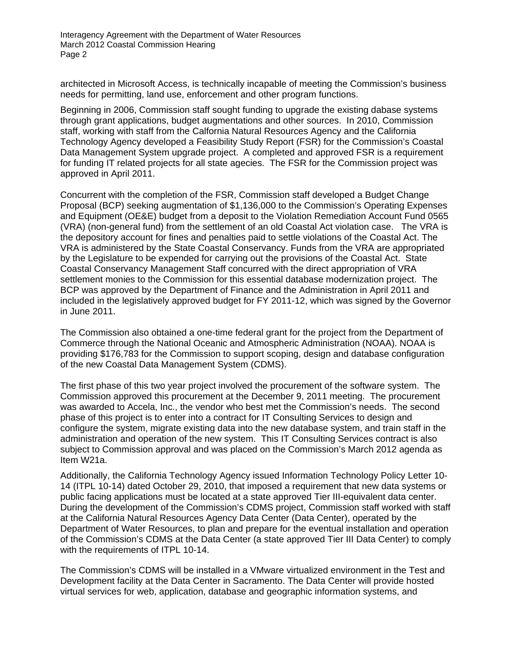Interagency Agreement with the Department of Water Resources March 2012 Coastal Commission Hearing Page 2

architected in Microsoft Access, is technically incapable of meeting the Commission's business needs for permitting, land use, enforcement and other program functions.

Beginning in 2006, Commission staff sought funding to upgrade the existing dabase systems through grant applications, budget augmentations and other sources. In 2010, Commission staff, working with staff from the Calfornia Natural Resources Agency and the California Technology Agency developed a Feasibility Study Report (FSR) for the Commission's Coastal Data Management System upgrade project. A completed and approved FSR is a requirement for funding IT related projects for all state agecies. The FSR for the Commission project was approved in April 2011.

Concurrent with the completion of the FSR, Commission staff developed a Budget Change Proposal (BCP) seeking augmentation of \$1,136,000 to the Commission's Operating Expenses and Equipment (OE&E) budget from a deposit to the Violation Remediation Account Fund 0565 (VRA) (non-general fund) from the settlement of an old Coastal Act violation case. The VRA is the depository account for fines and penalties paid to settle violations of the Coastal Act. The VRA is administered by the State Coastal Conservancy. Funds from the VRA are appropriated by the Legislature to be expended for carrying out the provisions of the Coastal Act. State Coastal Conservancy Management Staff concurred with the direct appropriation of VRA settlement monies to the Commission for this essential database modernization project. The BCP was approved by the Department of Finance and the Administration in April 2011 and included in the legislatively approved budget for FY 2011-12, which was signed by the Governor in June 2011.

The Commission also obtained a one-time federal grant for the project from the Department of Commerce through the National Oceanic and Atmospheric Administration (NOAA). NOAA is providing \$176,783 for the Commission to support scoping, design and database configuration of the new Coastal Data Management System (CDMS).

The first phase of this two year project involved the procurement of the software system. The Commission approved this procurement at the December 9, 2011 meeting. The procurement was awarded to Accela, Inc., the vendor who best met the Commission's needs. The second phase of this project is to enter into a contract for IT Consulting Services to design and configure the system, migrate existing data into the new database system, and train staff in the administration and operation of the new system. This IT Consulting Services contract is also subject to Commission approval and was placed on the Commission's March 2012 agenda as Item W21a.

Additionally, the California Technology Agency issued Information Technology Policy Letter 10- 14 (ITPL 10-14) dated October 29, 2010, that imposed a requirement that new data systems or public facing applications must be located at a state approved Tier III-equivalent data center. During the development of the Commission's CDMS project, Commission staff worked with staff at the California Natural Resources Agency Data Center (Data Center), operated by the Department of Water Resources, to plan and prepare for the eventual installation and operation of the Commission's CDMS at the Data Center (a state approved Tier III Data Center) to comply with the requirements of ITPL 10-14.

The Commission's CDMS will be installed in a VMware virtualized environment in the Test and Development facility at the Data Center in Sacramento. The Data Center will provide hosted virtual services for web, application, database and geographic information systems, and